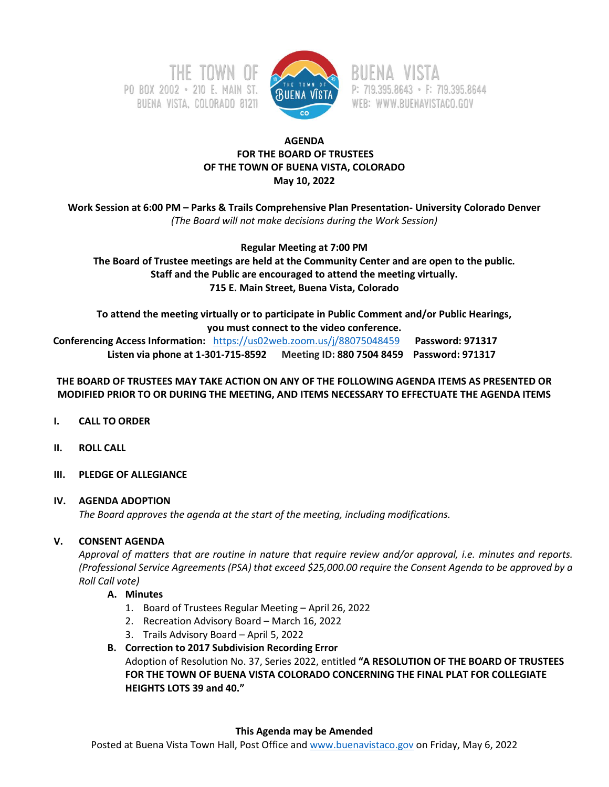



RUENA VISTA P: 719.395.8643 · F: 719.395.8644 WEB: WWW.BUENAVISTACO.GOV

## **AGENDA FOR THE BOARD OF TRUSTEES OF THE TOWN OF BUENA VISTA, COLORADO May 10, 2022**

**Work Session at 6:00 PM – Parks & Trails Comprehensive Plan Presentation- University Colorado Denver**  *(The Board will not make decisions during the Work Session)*

## **Regular Meeting at 7:00 PM**

**The Board of Trustee meetings are held at the Community Center and are open to the public. Staff and the Public are encouraged to attend the meeting virtually. 715 E. Main Street, Buena Vista, Colorado**

**To attend the meeting virtually or to participate in Public Comment and/or Public Hearings,** 

**you must connect to the video conference.**

 **Conferencing Access Information:** <https://us02web.zoom.us/j/88075048459>**Password: 971317 Listen via phone at 1-301-715-8592 Meeting ID: 880 7504 8459 Password: 971317**

## **THE BOARD OF TRUSTEES MAY TAKE ACTION ON ANY OF THE FOLLOWING AGENDA ITEMS AS PRESENTED OR MODIFIED PRIOR TO OR DURING THE MEETING, AND ITEMS NECESSARY TO EFFECTUATE THE AGENDA ITEMS**

- **I. CALL TO ORDER**
- **II. ROLL CALL**
- **III. PLEDGE OF ALLEGIANCE**

## **IV. AGENDA ADOPTION**

*The Board approves the agenda at the start of the meeting, including modifications.*

# **V. CONSENT AGENDA**

*Approval of matters that are routine in nature that require review and/or approval, i.e. minutes and reports. (Professional Service Agreements (PSA) that exceed \$25,000.00 require the Consent Agenda to be approved by a Roll Call vote)*

- **A. Minutes**
	- 1. Board of Trustees Regular Meeting April 26, 2022
	- 2. Recreation Advisory Board March 16, 2022
	- 3. Trails Advisory Board April 5, 2022

**B. Correction to 2017 Subdivision Recording Error** Adoption of Resolution No. 37, Series 2022, entitled **"A RESOLUTION OF THE BOARD OF TRUSTEES FOR THE TOWN OF BUENA VISTA COLORADO CONCERNING THE FINAL PLAT FOR COLLEGIATE HEIGHTS LOTS 39 and 40."**

## **This Agenda may be Amended**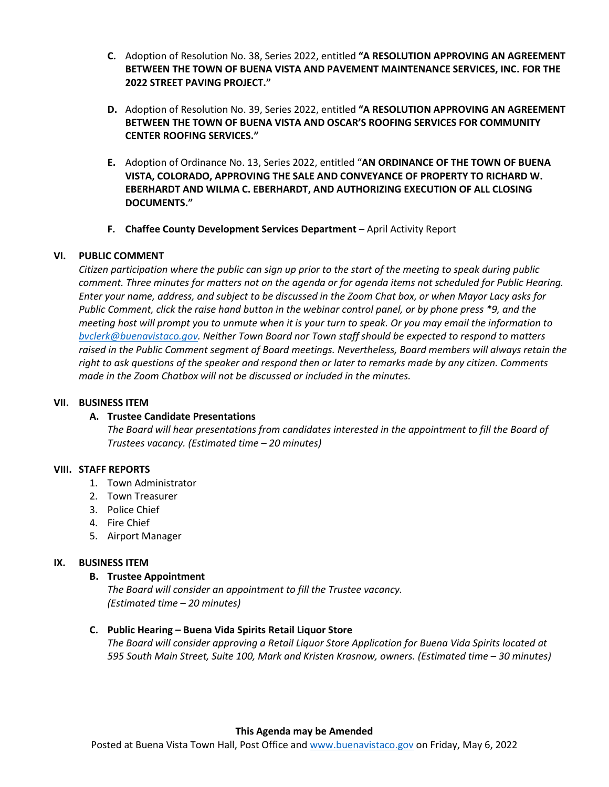- **C.** Adoption of Resolution No. 38, Series 2022, entitled **"A RESOLUTION APPROVING AN AGREEMENT BETWEEN THE TOWN OF BUENA VISTA AND PAVEMENT MAINTENANCE SERVICES, INC. FOR THE 2022 STREET PAVING PROJECT."**
- **D.** Adoption of Resolution No. 39, Series 2022, entitled **"A RESOLUTION APPROVING AN AGREEMENT BETWEEN THE TOWN OF BUENA VISTA AND OSCAR'S ROOFING SERVICES FOR COMMUNITY CENTER ROOFING SERVICES."**
- **E.** Adoption of Ordinance No. 13, Series 2022, entitled "**AN ORDINANCE OF THE TOWN OF BUENA VISTA, COLORADO, APPROVING THE SALE AND CONVEYANCE OF PROPERTY TO RICHARD W. EBERHARDT AND WILMA C. EBERHARDT, AND AUTHORIZING EXECUTION OF ALL CLOSING DOCUMENTS."**
- **F. Chaffee County Development Services Department** April Activity Report

## **VI. PUBLIC COMMENT**

*Citizen participation where the public can sign up prior to the start of the meeting to speak during public comment. Three minutes for matters not on the agenda or for agenda items not scheduled for Public Hearing. Enter your name, address, and subject to be discussed in the Zoom Chat box, or when Mayor Lacy asks for Public Comment, click the raise hand button in the webinar control panel, or by phone press \*9, and the meeting host will prompt you to unmute when it is your turn to speak. Or you may email the information to [bvclerk@buenavistaco.gov.](mailto:bvclerk@buenavistaco.gov) Neither Town Board nor Town staff should be expected to respond to matters raised in the Public Comment segment of Board meetings. Nevertheless, Board members will always retain the right to ask questions of the speaker and respond then or later to remarks made by any citizen. Comments made in the Zoom Chatbox will not be discussed or included in the minutes.*

### **VII. BUSINESS ITEM**

### **A. Trustee Candidate Presentations**

*The Board will hear presentations from candidates interested in the appointment to fill the Board of Trustees vacancy. (Estimated time – 20 minutes)*

### **VIII. STAFF REPORTS**

- 1. Town Administrator
- 2. Town Treasurer
- 3. Police Chief
- 4. Fire Chief
- 5. Airport Manager

### **IX. BUSINESS ITEM**

### **B. Trustee Appointment**

*The Board will consider an appointment to fill the Trustee vacancy. (Estimated time – 20 minutes)*

### **C. Public Hearing – Buena Vida Spirits Retail Liquor Store**

*The Board will consider approving a Retail Liquor Store Application for Buena Vida Spirits located at 595 South Main Street, Suite 100, Mark and Kristen Krasnow, owners. (Estimated time – 30 minutes)*

#### **This Agenda may be Amended**